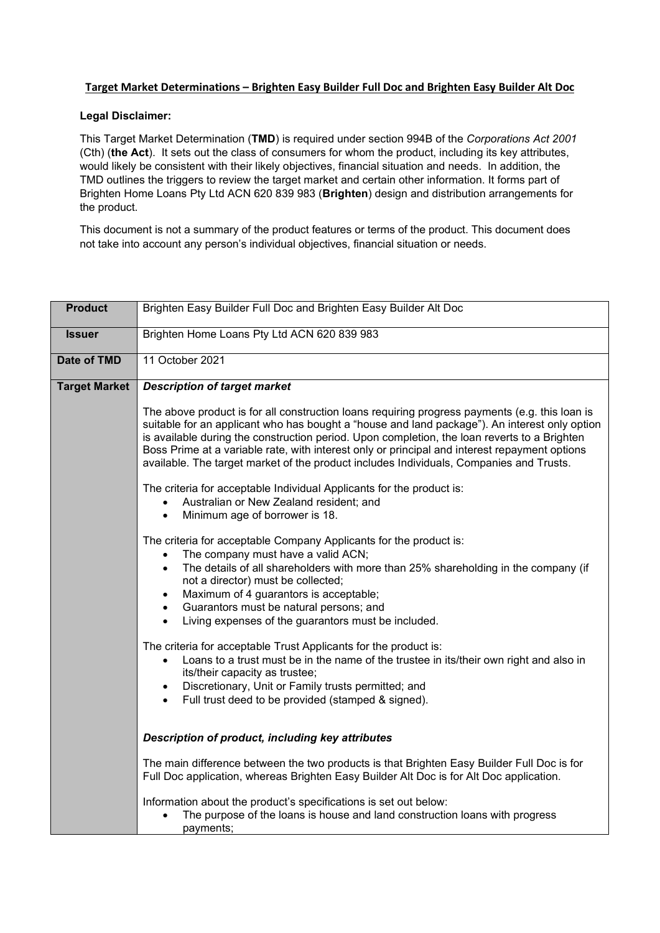## **Target Market Determinations – Brighten Easy Builder Full Doc and Brighten Easy Builder Alt Doc**

## **Legal Disclaimer:**

This Target Market Determination (**TMD**) is required under section 994B of the *Corporations Act 2001* (Cth) (**the Act**). It sets out the class of consumers for whom the product, including its key attributes, would likely be consistent with their likely objectives, financial situation and needs. In addition, the TMD outlines the triggers to review the target market and certain other information. It forms part of Brighten Home Loans Pty Ltd ACN 620 839 983 (**Brighten**) design and distribution arrangements for the product.

This document is not a summary of the product features or terms of the product. This document does not take into account any person's individual objectives, financial situation or needs.

| <b>Product</b>       | Brighten Easy Builder Full Doc and Brighten Easy Builder Alt Doc                                                                                                                                                                                                                                                                                                                                                                                                                            |  |  |  |
|----------------------|---------------------------------------------------------------------------------------------------------------------------------------------------------------------------------------------------------------------------------------------------------------------------------------------------------------------------------------------------------------------------------------------------------------------------------------------------------------------------------------------|--|--|--|
| <b>Issuer</b>        | Brighten Home Loans Pty Ltd ACN 620 839 983                                                                                                                                                                                                                                                                                                                                                                                                                                                 |  |  |  |
| Date of TMD          | 11 October 2021                                                                                                                                                                                                                                                                                                                                                                                                                                                                             |  |  |  |
| <b>Target Market</b> | <b>Description of target market</b>                                                                                                                                                                                                                                                                                                                                                                                                                                                         |  |  |  |
|                      | The above product is for all construction loans requiring progress payments (e.g. this loan is<br>suitable for an applicant who has bought a "house and land package"). An interest only option<br>is available during the construction period. Upon completion, the loan reverts to a Brighten<br>Boss Prime at a variable rate, with interest only or principal and interest repayment options<br>available. The target market of the product includes Individuals, Companies and Trusts. |  |  |  |
|                      | The criteria for acceptable Individual Applicants for the product is:<br>Australian or New Zealand resident; and<br>$\bullet$<br>Minimum age of borrower is 18.<br>$\bullet$                                                                                                                                                                                                                                                                                                                |  |  |  |
|                      | The criteria for acceptable Company Applicants for the product is:<br>The company must have a valid ACN;<br>$\bullet$<br>The details of all shareholders with more than 25% shareholding in the company (if<br>$\bullet$<br>not a director) must be collected;<br>Maximum of 4 guarantors is acceptable;<br>$\bullet$<br>Guarantors must be natural persons; and<br>$\bullet$<br>Living expenses of the guarantors must be included.                                                        |  |  |  |
|                      | The criteria for acceptable Trust Applicants for the product is:<br>Loans to a trust must be in the name of the trustee in its/their own right and also in<br>$\bullet$<br>its/their capacity as trustee;<br>Discretionary, Unit or Family trusts permitted; and<br>$\bullet$<br>Full trust deed to be provided (stamped & signed).                                                                                                                                                         |  |  |  |
|                      | Description of product, including key attributes                                                                                                                                                                                                                                                                                                                                                                                                                                            |  |  |  |
|                      | The main difference between the two products is that Brighten Easy Builder Full Doc is for<br>Full Doc application, whereas Brighten Easy Builder Alt Doc is for Alt Doc application.                                                                                                                                                                                                                                                                                                       |  |  |  |
|                      | Information about the product's specifications is set out below:<br>The purpose of the loans is house and land construction loans with progress<br>payments;                                                                                                                                                                                                                                                                                                                                |  |  |  |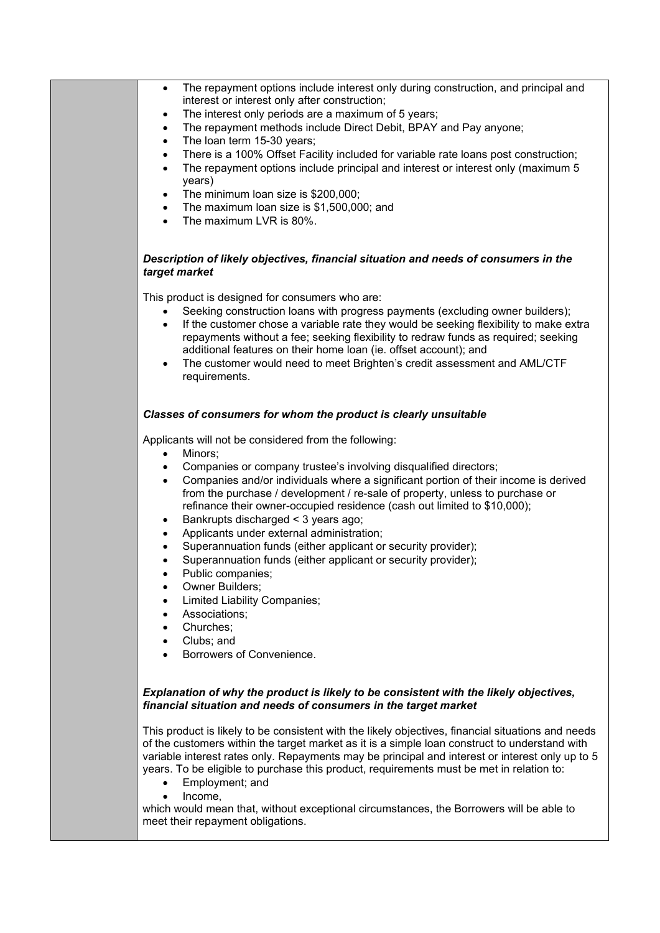| The repayment options include interest only during construction, and principal and<br>interest or interest only after construction;<br>The interest only periods are a maximum of 5 years;<br>$\bullet$<br>The repayment methods include Direct Debit, BPAY and Pay anyone;<br>$\bullet$<br>The loan term 15-30 years;<br>$\bullet$<br>There is a 100% Offset Facility included for variable rate loans post construction;<br>$\bullet$<br>The repayment options include principal and interest or interest only (maximum 5<br>$\bullet$<br>years)<br>The minimum loan size is \$200,000;<br>٠<br>The maximum loan size is \$1,500,000; and<br>$\bullet$<br>The maximum LVR is 80%.<br>$\bullet$                                                                                                                                                    |
|-----------------------------------------------------------------------------------------------------------------------------------------------------------------------------------------------------------------------------------------------------------------------------------------------------------------------------------------------------------------------------------------------------------------------------------------------------------------------------------------------------------------------------------------------------------------------------------------------------------------------------------------------------------------------------------------------------------------------------------------------------------------------------------------------------------------------------------------------------|
| Description of likely objectives, financial situation and needs of consumers in the<br>target market                                                                                                                                                                                                                                                                                                                                                                                                                                                                                                                                                                                                                                                                                                                                                |
| This product is designed for consumers who are:<br>Seeking construction loans with progress payments (excluding owner builders);<br>$\bullet$<br>If the customer chose a variable rate they would be seeking flexibility to make extra<br>$\bullet$<br>repayments without a fee; seeking flexibility to redraw funds as required; seeking<br>additional features on their home loan (ie. offset account); and<br>The customer would need to meet Brighten's credit assessment and AML/CTF<br>$\bullet$<br>requirements.                                                                                                                                                                                                                                                                                                                             |
| Classes of consumers for whom the product is clearly unsuitable                                                                                                                                                                                                                                                                                                                                                                                                                                                                                                                                                                                                                                                                                                                                                                                     |
| Applicants will not be considered from the following:<br>Minors;<br>$\bullet$<br>Companies or company trustee's involving disqualified directors;<br>$\bullet$<br>Companies and/or individuals where a significant portion of their income is derived<br>$\bullet$<br>from the purchase / development / re-sale of property, unless to purchase or<br>refinance their owner-occupied residence (cash out limited to \$10,000);<br>Bankrupts discharged < 3 years ago;<br>$\bullet$<br>Applicants under external administration;<br>$\bullet$<br>Superannuation funds (either applicant or security provider);<br>$\bullet$<br>Superannuation funds (either applicant or security provider);<br>Public companies;<br>Owner Builders;<br><b>Limited Liability Companies;</b><br>Associations;<br>Churches;<br>Clubs; and<br>Borrowers of Convenience. |
| Explanation of why the product is likely to be consistent with the likely objectives,<br>financial situation and needs of consumers in the target market<br>This product is likely to be consistent with the likely objectives, financial situations and needs<br>of the customers within the target market as it is a simple loan construct to understand with                                                                                                                                                                                                                                                                                                                                                                                                                                                                                     |
| variable interest rates only. Repayments may be principal and interest or interest only up to 5<br>years. To be eligible to purchase this product, requirements must be met in relation to:<br>Employment; and<br>Income,<br>which would mean that, without exceptional circumstances, the Borrowers will be able to<br>meet their repayment obligations.                                                                                                                                                                                                                                                                                                                                                                                                                                                                                           |
|                                                                                                                                                                                                                                                                                                                                                                                                                                                                                                                                                                                                                                                                                                                                                                                                                                                     |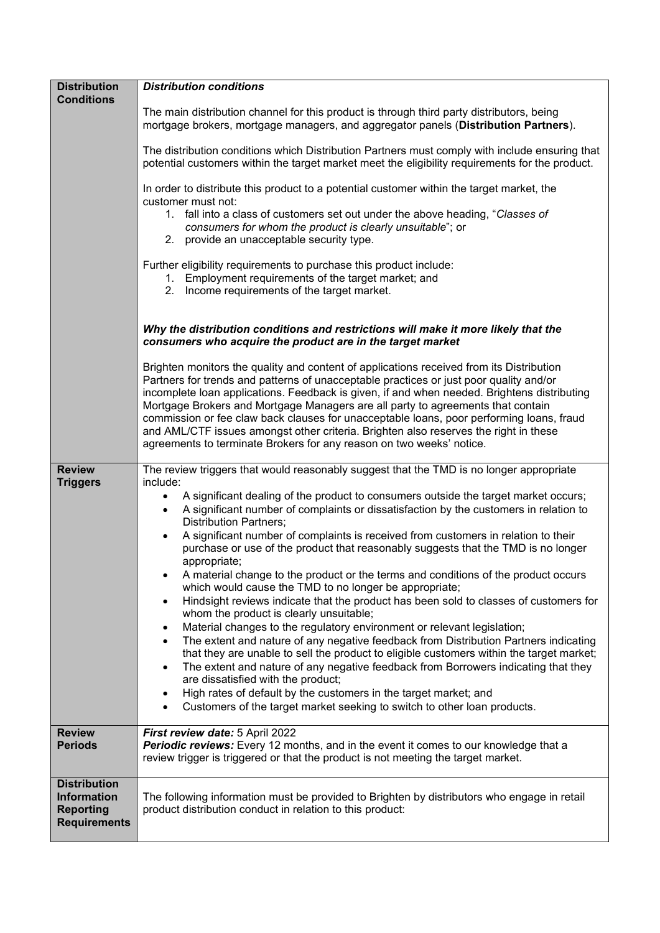| <b>Distribution</b>                       | <b>Distribution conditions</b>                                                                                                                                                                                                                                                                                                                                                                                                                                                                                                                                                                                                   |  |  |  |  |
|-------------------------------------------|----------------------------------------------------------------------------------------------------------------------------------------------------------------------------------------------------------------------------------------------------------------------------------------------------------------------------------------------------------------------------------------------------------------------------------------------------------------------------------------------------------------------------------------------------------------------------------------------------------------------------------|--|--|--|--|
| <b>Conditions</b>                         | The main distribution channel for this product is through third party distributors, being                                                                                                                                                                                                                                                                                                                                                                                                                                                                                                                                        |  |  |  |  |
|                                           | mortgage brokers, mortgage managers, and aggregator panels (Distribution Partners).                                                                                                                                                                                                                                                                                                                                                                                                                                                                                                                                              |  |  |  |  |
|                                           | The distribution conditions which Distribution Partners must comply with include ensuring that<br>potential customers within the target market meet the eligibility requirements for the product.                                                                                                                                                                                                                                                                                                                                                                                                                                |  |  |  |  |
|                                           | In order to distribute this product to a potential customer within the target market, the<br>customer must not:                                                                                                                                                                                                                                                                                                                                                                                                                                                                                                                  |  |  |  |  |
|                                           | 1. fall into a class of customers set out under the above heading, "Classes of<br>consumers for whom the product is clearly unsuitable"; or<br>2. provide an unacceptable security type.                                                                                                                                                                                                                                                                                                                                                                                                                                         |  |  |  |  |
|                                           | Further eligibility requirements to purchase this product include:<br>1. Employment requirements of the target market; and<br>2. Income requirements of the target market.                                                                                                                                                                                                                                                                                                                                                                                                                                                       |  |  |  |  |
|                                           | Why the distribution conditions and restrictions will make it more likely that the<br>consumers who acquire the product are in the target market                                                                                                                                                                                                                                                                                                                                                                                                                                                                                 |  |  |  |  |
|                                           | Brighten monitors the quality and content of applications received from its Distribution<br>Partners for trends and patterns of unacceptable practices or just poor quality and/or<br>incomplete loan applications. Feedback is given, if and when needed. Brightens distributing<br>Mortgage Brokers and Mortgage Managers are all party to agreements that contain<br>commission or fee claw back clauses for unacceptable loans, poor performing loans, fraud<br>and AML/CTF issues amongst other criteria. Brighten also reserves the right in these<br>agreements to terminate Brokers for any reason on two weeks' notice. |  |  |  |  |
| <b>Review</b>                             | The review triggers that would reasonably suggest that the TMD is no longer appropriate                                                                                                                                                                                                                                                                                                                                                                                                                                                                                                                                          |  |  |  |  |
| <b>Triggers</b>                           | include:<br>A significant dealing of the product to consumers outside the target market occurs;<br>$\bullet$<br>A significant number of complaints or dissatisfaction by the customers in relation to<br>$\bullet$<br><b>Distribution Partners;</b>                                                                                                                                                                                                                                                                                                                                                                              |  |  |  |  |
|                                           | A significant number of complaints is received from customers in relation to their<br>purchase or use of the product that reasonably suggests that the TMD is no longer<br>appropriate;                                                                                                                                                                                                                                                                                                                                                                                                                                          |  |  |  |  |
|                                           | A material change to the product or the terms and conditions of the product occurs<br>which would cause the TMD to no longer be appropriate;                                                                                                                                                                                                                                                                                                                                                                                                                                                                                     |  |  |  |  |
|                                           | Hindsight reviews indicate that the product has been sold to classes of customers for<br>$\bullet$<br>whom the product is clearly unsuitable;                                                                                                                                                                                                                                                                                                                                                                                                                                                                                    |  |  |  |  |
|                                           | Material changes to the regulatory environment or relevant legislation;<br>٠                                                                                                                                                                                                                                                                                                                                                                                                                                                                                                                                                     |  |  |  |  |
|                                           | The extent and nature of any negative feedback from Distribution Partners indicating<br>$\bullet$<br>that they are unable to sell the product to eligible customers within the target market;                                                                                                                                                                                                                                                                                                                                                                                                                                    |  |  |  |  |
|                                           | The extent and nature of any negative feedback from Borrowers indicating that they<br>٠<br>are dissatisfied with the product;                                                                                                                                                                                                                                                                                                                                                                                                                                                                                                    |  |  |  |  |
|                                           | High rates of default by the customers in the target market; and                                                                                                                                                                                                                                                                                                                                                                                                                                                                                                                                                                 |  |  |  |  |
|                                           | Customers of the target market seeking to switch to other loan products.                                                                                                                                                                                                                                                                                                                                                                                                                                                                                                                                                         |  |  |  |  |
| <b>Review</b><br><b>Periods</b>           | First review date: 5 April 2022<br>Periodic reviews: Every 12 months, and in the event it comes to our knowledge that a<br>review trigger is triggered or that the product is not meeting the target market.                                                                                                                                                                                                                                                                                                                                                                                                                     |  |  |  |  |
| <b>Distribution</b><br><b>Information</b> | The following information must be provided to Brighten by distributors who engage in retail                                                                                                                                                                                                                                                                                                                                                                                                                                                                                                                                      |  |  |  |  |
| <b>Reporting</b><br><b>Requirements</b>   | product distribution conduct in relation to this product:                                                                                                                                                                                                                                                                                                                                                                                                                                                                                                                                                                        |  |  |  |  |